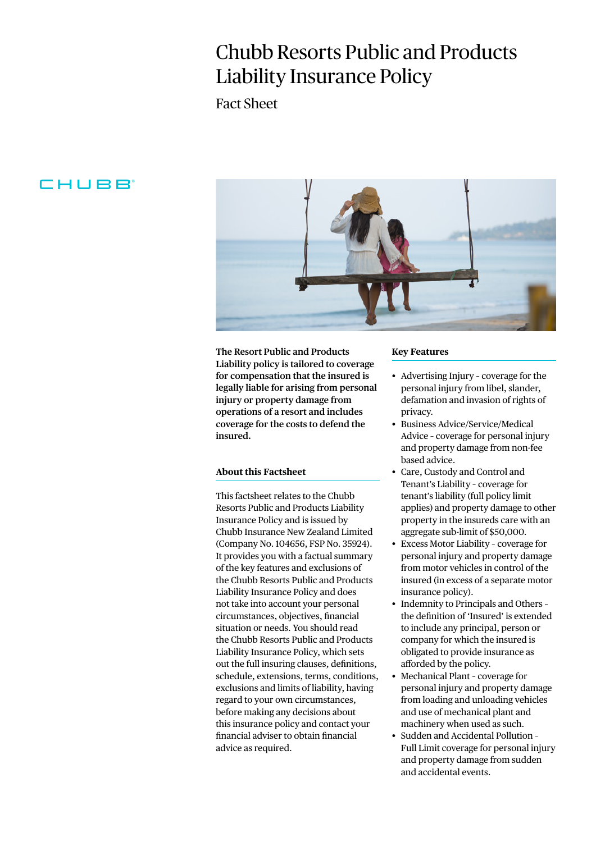# Chubb Resorts Public and Products Liability Insurance Policy

Fact Sheet

# CHUBB



**The Resort Public and Products Liability policy is tailored to coverage for compensation that the insured is legally liable for arising from personal injury or property damage from operations of a resort and includes coverage for the costs to defend the insured.**

# **About this Factsheet**

This factsheet relates to the Chubb Resorts Public and Products Liability Insurance Policy and is issued by Chubb Insurance New Zealand Limited (Company No. 104656, FSP No. 35924). It provides you with a factual summary of the key features and exclusions of the Chubb Resorts Public and Products Liability Insurance Policy and does not take into account your personal circumstances, objectives, financial situation or needs. You should read the Chubb Resorts Public and Products Liability Insurance Policy, which sets out the full insuring clauses, definitions, schedule, extensions, terms, conditions, exclusions and limits of liability, having regard to your own circumstances, before making any decisions about this insurance policy and contact your financial adviser to obtain financial advice as required.

#### **Key Features**

- Advertising Injury coverage for the personal injury from libel, slander, defamation and invasion of rights of privacy.
- Business Advice/Service/Medical Advice – coverage for personal injury and property damage from non-fee based advice.
- Care, Custody and Control and Tenant's Liability – coverage for tenant's liability (full policy limit applies) and property damage to other property in the insureds care with an aggregate sub-limit of \$50,000.
- Excess Motor Liability coverage for personal injury and property damage from motor vehicles in control of the insured (in excess of a separate motor insurance policy).
- Indemnity to Principals and Others the definition of 'Insured' is extended to include any principal, person or company for which the insured is obligated to provide insurance as afforded by the policy.
- Mechanical Plant coverage for personal injury and property damage from loading and unloading vehicles and use of mechanical plant and machinery when used as such.
- Sudden and Accidental Pollution Full Limit coverage for personal injury and property damage from sudden and accidental events.